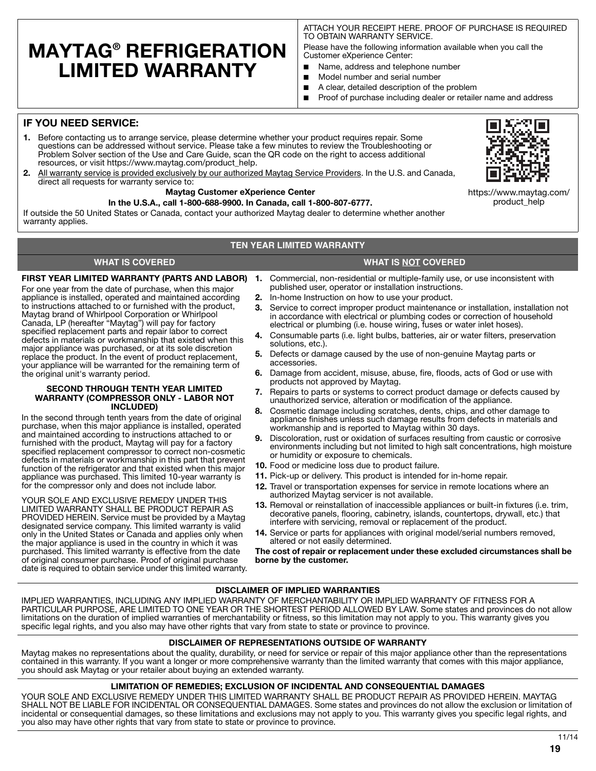# **MAYTAG® REFRIGERATION LIMITED WARRANTY**

ATTACH YOUR RECEIPT HERE. PROOF OF PURCHASE IS REQUIRED TO OBTAIN WARRANTY SERVICE.

Please have the following information available when you call the Customer eXperience Center:

- Name, address and telephone number
- Model number and serial number
- A clear, detailed description of the problem
- Proof of purchase including dealer or retailer name and address

# **IF YOU NEED SERVICE:**

- **1.** Before contacting us to arrange service, please determine whether your product requires repair. Some questions can be addressed without service. Please take a few minutes to review the Troubleshooting or Problem Solver section of the Use and Care Guide, scan the QR code on the right to access additional resources, or visit https://www.maytag.com/product\_help.
- **2.** All warranty service is provided exclusively by our authorized Maytag Service Providers. In the U.S. and Canada, direct all requests for warranty service to:

## **Maytag Customer eXperience Center**

### **In the U.S.A., call 1-800-688-9900. In Canada, call 1-800-807-6777.**

If outside the 50 United States or Canada, contact your authorized Maytag dealer to determine whether another warranty applies.

# **TEN YEAR LIMITED WARRANTY**

# **WHAT IS COVERED WHAT IS NOT COVERED**

For one year from the date of purchase, when this major appliance is installed, operated and maintained according to instructions attached to or furnished with the product, Maytag brand of Whirlpool Corporation or Whirlpool Canada, LP (hereafter "Maytag") will pay for factory specified replacement parts and repair labor to correct defects in materials or workmanship that existed when this major appliance was purchased, or at its sole discretion replace the product. In the event of product replacement, your appliance will be warranted for the remaining term of the original unit's warranty period.

#### **SECOND THROUGH TENTH YEAR LIMITED WARRANTY (COMPRESSOR ONLY - LABOR NOT INCLUDED)**

In the second through tenth years from the date of original purchase, when this major appliance is installed, operated and maintained according to instructions attached to or furnished with the product, Maytag will pay for a factory specified replacement compressor to correct non-cosmetic defects in materials or workmanship in this part that prevent function of the refrigerator and that existed when this major appliance was purchased. This limited 10-year warranty is for the compressor only and does not include labor.

YOUR SOLE AND EXCLUSIVE REMEDY UNDER THIS LIMITED WARRANTY SHALL BE PRODUCT REPAIR AS PROVIDED HEREIN. Service must be provided by a Maytag designated service company. This limited warranty is valid only in the United States or Canada and applies only when the major appliance is used in the country in which it was purchased. This limited warranty is effective from the date of original consumer purchase. Proof of original purchase date is required to obtain service under this limited warranty.

- **FIRST YEAR LIMITED WARRANTY (PARTS AND LABOR) 1.** Commercial, non-residential or multiple-family use, or use inconsistent with published user, operator or installation instructions.
	- **2.** In-home Instruction on how to use your product.
	- **3.** Service to correct improper product maintenance or installation, installation not in accordance with electrical or plumbing codes or correction of household electrical or plumbing (i.e. house wiring, fuses or water inlet hoses).
	- **4.** Consumable parts (i.e. light bulbs, batteries, air or water filters, preservation solutions, etc.).
	- **5.** Defects or damage caused by the use of non-genuine Maytag parts or accessories.
	- **6.** Damage from accident, misuse, abuse, fire, floods, acts of God or use with products not approved by Maytag.
	- **7.** Repairs to parts or systems to correct product damage or defects caused by unauthorized service, alteration or modification of the appliance.
	- **8.** Cosmetic damage including scratches, dents, chips, and other damage to appliance finishes unless such damage results from defects in materials and workmanship and is reported to Maytag within 30 days.
	- **9.** Discoloration, rust or oxidation of surfaces resulting from caustic or corrosive environments including but not limited to high salt concentrations, high moisture or humidity or exposure to chemicals.
	- **10.** Food or medicine loss due to product failure.
	- **11.** Pick-up or delivery. This product is intended for in-home repair.
	- **12.** Travel or transportation expenses for service in remote locations where an authorized Maytag servicer is not available.
	- **13.** Removal or reinstallation of inaccessible appliances or built-in fixtures (i.e. trim, decorative panels, flooring, cabinetry, islands, countertops, drywall, etc.) that interfere with servicing, removal or replacement of the product.
	- **14.** Service or parts for appliances with original model/serial numbers removed, altered or not easily determined.

**The cost of repair or replacement under these excluded circumstances shall be borne by the customer.** 

# **DISCLAIMER OF IMPLIED WARRANTIES**

IMPLIED WARRANTIES, INCLUDING ANY IMPLIED WARRANTY OF MERCHANTABILITY OR IMPLIED WARRANTY OF FITNESS FOR A PARTICULAR PURPOSE, ARE LIMITED TO ONE YEAR OR THE SHORTEST PERIOD ALLOWED BY LAW. Some states and provinces do not allow limitations on the duration of implied warranties of merchantability or fitness, so this limitation may not apply to you. This warranty gives you specific legal rights, and you also may have other rights that vary from state to state or province to province.

# **DISCLAIMER OF REPRESENTATIONS OUTSIDE OF WARRANTY**

Maytag makes no representations about the quality, durability, or need for service or repair of this major appliance other than the representations contained in this warranty. If you want a longer or more comprehensive warranty than the limited warranty that comes with this major appliance, you should ask Maytag or your retailer about buying an extended warranty.

# **LIMITATION OF REMEDIES; EXCLUSION OF INCIDENTAL AND CONSEQUENTIAL DAMAGES**

YOUR SOLE AND EXCLUSIVE REMEDY UNDER THIS LIMITED WARRANTY SHALL BE PRODUCT REPAIR AS PROVIDED HEREIN. MAYTAG SHALL NOT BE LIABLE FOR INCIDENTAL OR CONSEQUENTIAL DAMAGES. Some states and provinces do not allow the exclusion or limitation of incidental or consequential damages, so these limitations and exclusions may not apply to you. This warranty gives you specific legal rights, and you also may have other rights that vary from state to state or province to province.



https://www.maytag.com/ product\_help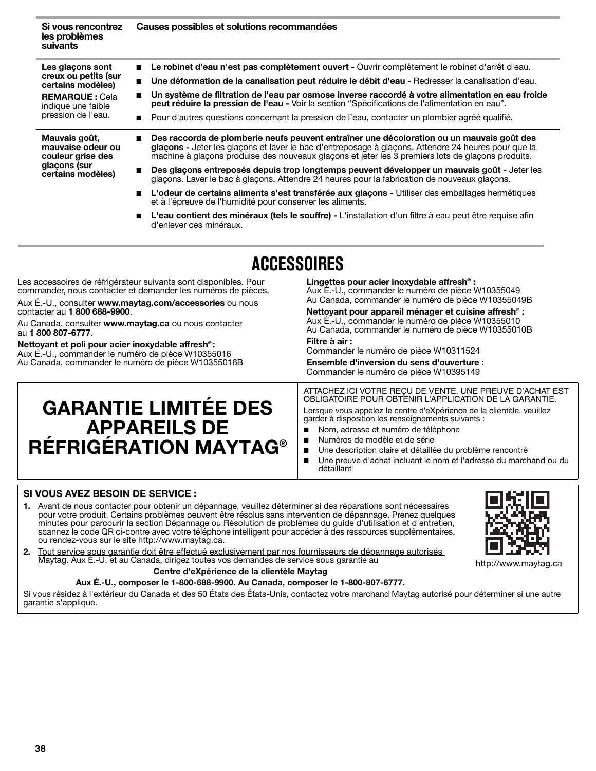| Si vous rencontrez<br>les problèmes<br>suivants                                                                                    | Causes possibles et solutions recommandées                                                                                                                                                                                                                                                            |
|------------------------------------------------------------------------------------------------------------------------------------|-------------------------------------------------------------------------------------------------------------------------------------------------------------------------------------------------------------------------------------------------------------------------------------------------------|
| Les glaçons sont<br>creux ou petits (sur<br>certains modèles)<br><b>REMARQUE: Cela</b><br>indique une faible<br>pression de l'eau. | Le robinet d'eau n'est pas complètement ouvert - Ouvrir complètement le robinet d'arrêt d'eau.                                                                                                                                                                                                        |
|                                                                                                                                    | Une déformation de la canalisation peut réduire le débit d'eau - Redresser la canalisation d'eau.<br>$\blacksquare$                                                                                                                                                                                   |
|                                                                                                                                    | Un système de filtration de l'eau par osmose inverse raccordé à votre alimentation en eau froide<br>$\blacksquare$<br>peut réduire la pression de l'eau - Voir la section "Spécifications de l'alimentation en eau".                                                                                  |
|                                                                                                                                    | Pour d'autres questions concernant la pression de l'eau, contacter un plombier agréé qualifié.                                                                                                                                                                                                        |
| Mauvais goût,<br>mauvaise odeur ou<br>couleur grise des<br>glaçons (sur<br>certains modèles)                                       | Des raccords de plomberie neufs peuvent entraîner une décoloration ou un mauvais goût des<br>glaçons - Jeter les glaçons et laver le bac d'entreposage à glaçons. Attendre 24 heures pour que la<br>machine à glaçons produise des nouveaux glaçons et jeter les 3 premiers lots de glacons produits. |
|                                                                                                                                    | Des glacons entreposés depuis trop longtemps peuvent développer un mauvais goût - Jeter les<br>glaçons. Laver le bac à glaçons. Attendre 24 heures pour la fabrication de nouveaux glaçons.                                                                                                           |
|                                                                                                                                    | L'odeur de certains aliments s'est transférée aux glaçons - Utiliser des emballages hermétiques<br>et à l'épreuve de l'humidité pour conserver les aliments.                                                                                                                                          |
|                                                                                                                                    | L'eau contient des minéraux (tels le souffre) - L'installation d'un filtre à eau peut être requise afin<br>d'enlever ces minéraux.                                                                                                                                                                    |

# **ACCESSOIRES**

Les accessoires de réfrigérateur suivants sont disponibles. Pour commander, nous contacter et demander les numéros de pièces.

Aux É.-U., consulter **www.maytag.com/accessories** ou nous contacter au **1 800 688-9900**.

Au Canada, consulter **www.maytag.ca** ou nous contacter au **1 800 807-6777**.

**Nettoyant et poli pour acier inoxydable affresh® :** Aux É.-U., commander le numéro de pièce W10355016 Au Canada, commander le numéro de pièce W10355016B **Lingettes pour acier inoxydable affresh® :** Aux É.-U., commander le numéro de pièce W10355049 Au Canada, commander le numéro de pièce W10355049B

**Nettoyant pour appareil ménager et cuisine affresh® :** Aux É.-U., commander le numéro de pièce W10355010 Au Canada, commander le numéro de pièce W10355010B **Filtre à air :**

Commander le numéro de pièce W10311524

**Ensemble d'inversion du sens d'ouverture :** Commander le numéro de pièce W10395149

# **GARANTIE LIMITÉE DES APPAREILS DE RÉFRIGÉRATION MAYTAG®**

ATTACHEZ ICI VOTRE REÇU DE VENTE. UNE PREUVE D'ACHAT EST OBLIGATOIRE POUR OBTENIR L'APPLICATION DE LA GARANTIE.

Lorsque vous appelez le centre d'eXpérience de la clientèle, veuillez garder à disposition les renseignements suivants :

- Nom, adresse et numéro de téléphone
- Numéros de modèle et de série
- Une description claire et détaillée du problème rencontré
- Une preuve d'achat incluant le nom et l'adresse du marchand ou du détaillant

# **SI VOUS AVEZ BESOIN DE SERVICE :**

- **1.** Avant de nous contacter pour obtenir un dépannage, veuillez déterminer si des réparations sont nécessaires pour votre produit. Certains problèmes peuvent être résolus sans intervention de dépannage. Prenez quelques minutes pour parcourir la section Dépannage ou Résolution de problèmes du guide d'utilisation et d'entretien, scannez le code QR ci-contre avec votre téléphone intelligent pour accéder à des ressources supplémentaires, ou rendez-vous sur le site http://www.maytag.ca.
- **2.** Tout service sous garantie doit être effectué exclusivement par nos fournisseurs de dépannage autorisés Maytag. Aux É.-U. et au Canada, dirigez toutes vos demandes de service sous garantie au

# **Centre d'eXpérience de la clientèle Maytag**

# **Aux É.-U., composer le 1-800-688-9900. Au Canada, composer le 1-800-807-6777.**

Si vous résidez à l'extérieur du Canada et des 50 États des États-Unis, contactez votre marchand Maytag autorisé pour déterminer si une autre garantie s'applique.



http://www.maytag.ca